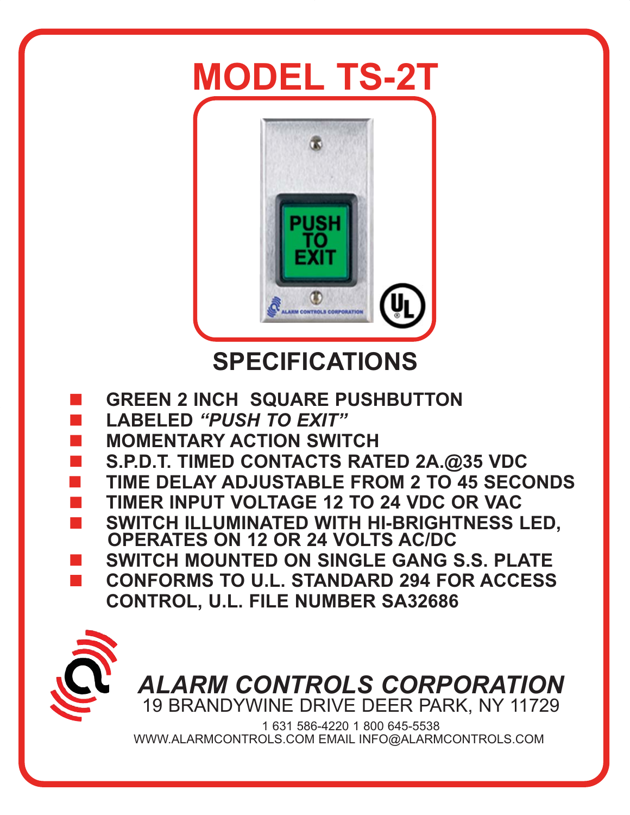# **MODEL TS-2T**



## **SPECIFICATIONS**

- -**GREEN 2 INCH SQUARE PUSHBUTTON**
- -**LABELED** *"PUSH TO EXIT"*
- -**MOMENTARY ACTION SWITCH**
- -**S.P.D.T. TIMED CONTACTS RATED 2A.@35 VDC**
- -**TIME DELAY ADJUSTABLE FROM 2 TO 45 SECONDS**
- -**TIMER INPUT VOLTAGE 12 TO 24 VDC OR VAC**
- - **SWITCH ILLUMINATED WITH HI-BRIGHTNESS LED, OPERATES ON 12 OR 24 VOLTS AC/DC**
- -**SWITCH MOUNTED ON SINGLE GANG S.S. PLATE**
- - **CONFORMS TO U.L. STANDARD 294 FOR ACCESS CONTROL, U.L. FILE NUMBER SA32686**



*ALARM CONTROLS CORPORATION* 19 BRANDYWINE DRIVE DEER PARK, NY 11729

1 631 586-4220 1 800 645-5538 WWW.ALARMCONTROLS.COM EMAIL INFO@ALARMCONTROLS.COM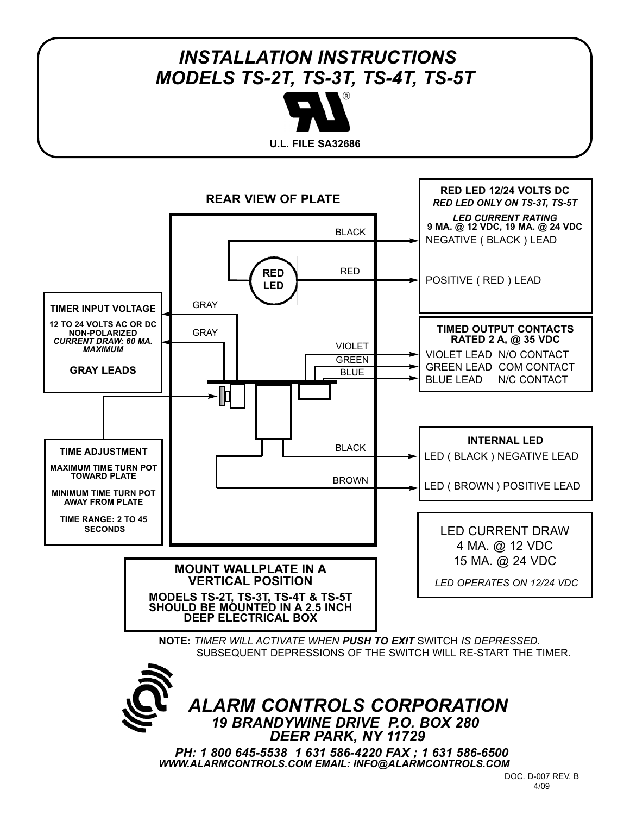## *INSTALLATION INSTRUCTIONS MODELS TS-2T, TS-3T, TS-4T, TS-5T*



**U.L. FILE SA32686**



*PH: 1 800 645-5538 1 631 586-4220 FAX ; 1 631 586-6500 WWW.ALARMCONTROLS.COM EMAIL: INFO@ALARMCONTROLS.COM*